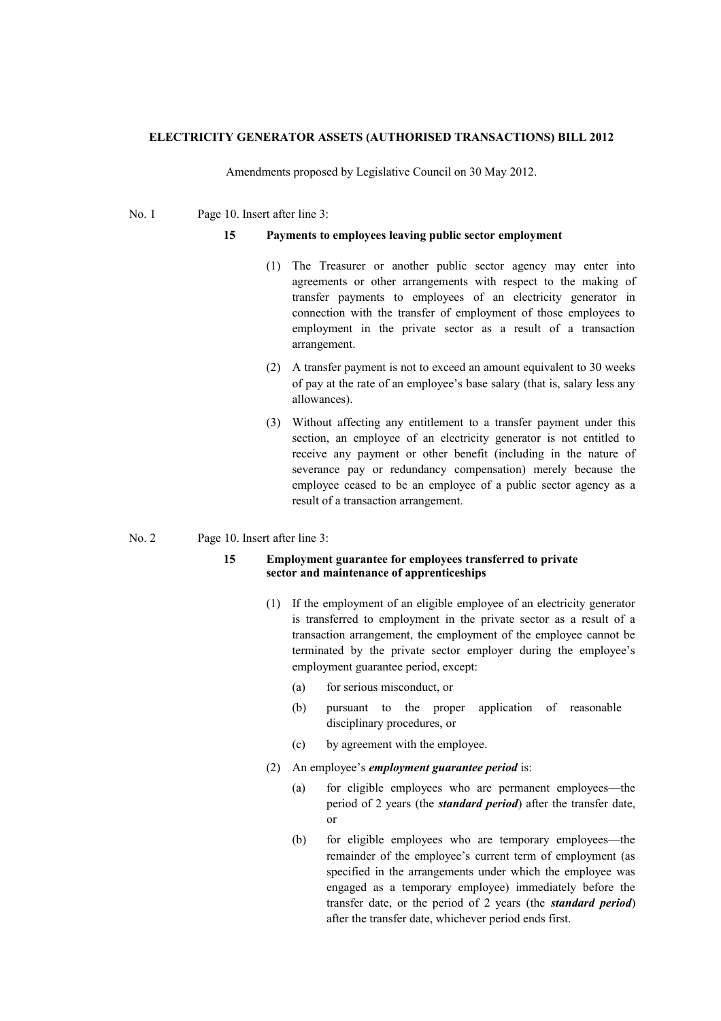## **ELECTRICITY GENERATOR ASSETS (AUTHORISED TRANSACTIONS) BILL 2012**

Amendments proposed by Legislative Council on 30 May 2012.

No. 1 Page 10. Insert after line 3:

## **15 Payments to employees leaving public sector employment**

- (1) The Treasurer or another public sector agency may enter into agreements or other arrangements with respect to the making of transfer payments to employees of an electricity generator in connection with the transfer of employment of those employees to employment in the private sector as a result of a transaction arrangement.
- (2) A transfer payment is not to exceed an amount equivalent to 30 weeks of pay at the rate of an employee's base salary (that is, salary less any allowances).
- (3) Without affecting any entitlement to a transfer payment under this section, an employee of an electricity generator is not entitled to receive any payment or other benefit (including in the nature of severance pay or redundancy compensation) merely because the employee ceased to be an employee of a public sector agency as a result of a transaction arrangement.

## No. 2 Page 10. Insert after line 3:

## **15 Employment guarantee for employees transferred to private sector and maintenance of apprenticeships**

- (1) If the employment of an eligible employee of an electricity generator is transferred to employment in the private sector as a result of a transaction arrangement, the employment of the employee cannot be terminated by the private sector employer during the employee's employment guarantee period, except:
	- (a) for serious misconduct, or
	- (b) pursuant to the proper application of reasonable disciplinary procedures, or
	- (c) by agreement with the employee.
- (2) An employee's *employment guarantee period* is:
	- (a) for eligible employees who are permanent employees—the period of 2 years (the *standard period*) after the transfer date, or
	- (b) for eligible employees who are temporary employees—the remainder of the employee's current term of employment (as specified in the arrangements under which the employee was engaged as a temporary employee) immediately before the transfer date, or the period of 2 years (the *standard period*) after the transfer date, whichever period ends first.